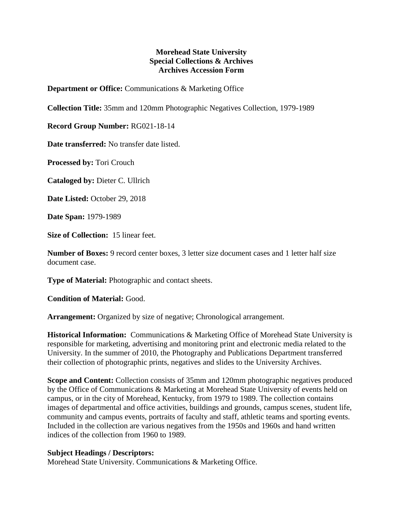## **Morehead State University Special Collections & Archives Archives Accession Form**

**Department or Office:** Communications & Marketing Office

**Collection Title:** 35mm and 120mm Photographic Negatives Collection, 1979-1989

**Record Group Number:** RG021-18-14

**Date transferred:** No transfer date listed.

**Processed by:** Tori Crouch

**Cataloged by:** Dieter C. Ullrich

**Date Listed:** October 29, 2018

**Date Span:** 1979-1989

**Size of Collection:** 15 linear feet.

**Number of Boxes:** 9 record center boxes, 3 letter size document cases and 1 letter half size document case.

**Type of Material:** Photographic and contact sheets.

**Condition of Material:** Good.

**Arrangement:** Organized by size of negative; Chronological arrangement.

**Historical Information:** Communications & Marketing Office of Morehead State University is responsible for marketing, advertising and monitoring print and electronic media related to the University. In the summer of 2010, the Photography and Publications Department transferred their collection of photographic prints, negatives and slides to the University Archives.

**Scope and Content:** Collection consists of 35mm and 120mm photographic negatives produced by the Office of Communications & Marketing at Morehead State University of events held on campus, or in the city of Morehead, Kentucky, from 1979 to 1989. The collection contains images of departmental and office activities, buildings and grounds, campus scenes, student life, community and campus events, portraits of faculty and staff, athletic teams and sporting events. Included in the collection are various negatives from the 1950s and 1960s and hand written indices of the collection from 1960 to 1989.

## **Subject Headings / Descriptors:**

Morehead State University. Communications & Marketing Office.